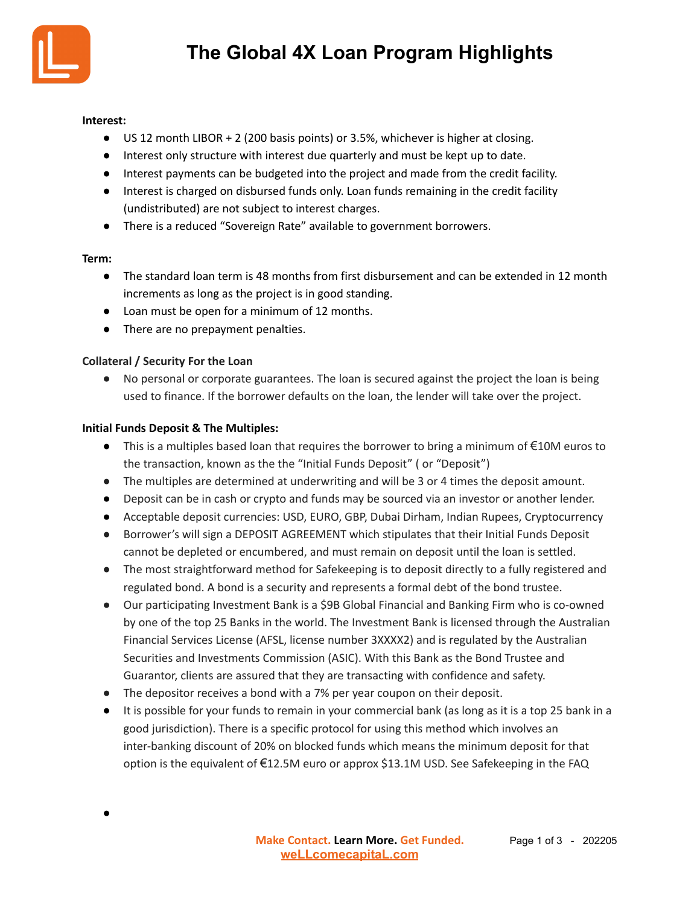

### **Interest:**

- US 12 month LIBOR + 2 (200 basis points) or 3.5%, whichever is higher at closing.
- Interest only structure with interest due quarterly and must be kept up to date.
- Interest payments can be budgeted into the project and made from the credit facility.
- Interest is charged on disbursed funds only. Loan funds remaining in the credit facility (undistributed) are not subject to interest charges.
- There is a reduced "Sovereign Rate" available to government borrowers.

## **Term:**

- The standard loan term is 48 months from first disbursement and can be extended in 12 month increments as long as the project is in good standing.
- Loan must be open for a minimum of 12 months.
- There are no prepayment penalties.

## **Collateral / Security For the Loan**

● No personal or corporate guarantees. The loan is secured against the project the loan is being used to finance. If the borrower defaults on the loan, the lender will take over the project.

## **Initial Funds Deposit & The Multiples:**

- $\bullet$  This is a multiples based loan that requires the borrower to bring a minimum of  $\epsilon$ 10M euros to the transaction, known as the the "Initial Funds Deposit" ( or "Deposit")
- The multiples are determined at underwriting and will be 3 or 4 times the deposit amount.
- Deposit can be in cash or crypto and funds may be sourced via an investor or another lender.
- Acceptable deposit currencies: USD, EURO, GBP, Dubai Dirham, Indian Rupees, Cryptocurrency
- Borrower's will sign a DEPOSIT AGREEMENT which stipulates that their Initial Funds Deposit cannot be depleted or encumbered, and must remain on deposit until the loan is settled.
- The most straightforward method for Safekeeping is to deposit directly to a fully registered and regulated bond. A bond is a security and represents a formal debt of the bond trustee.
- Our participating Investment Bank is a \$9B Global Financial and Banking Firm who is co-owned by one of the top 25 Banks in the world. The Investment Bank is licensed through the Australian Financial Services License (AFSL, license number 3XXXX2) and is regulated by the Australian Securities and Investments Commission (ASIC). With this Bank as the Bond Trustee and Guarantor, clients are assured that they are transacting with confidence and safety.
- The depositor receives a bond with a 7% per year coupon on their deposit.
- It is possible for your funds to remain in your commercial bank (as long as it is a top 25 bank in a good jurisdiction). There is a specific protocol for using this method which involves an inter-banking discount of 20% on blocked funds which means the minimum deposit for that option is the equivalent of €12.5M euro or approx \$13.1M USD. See Safekeeping in the FAQ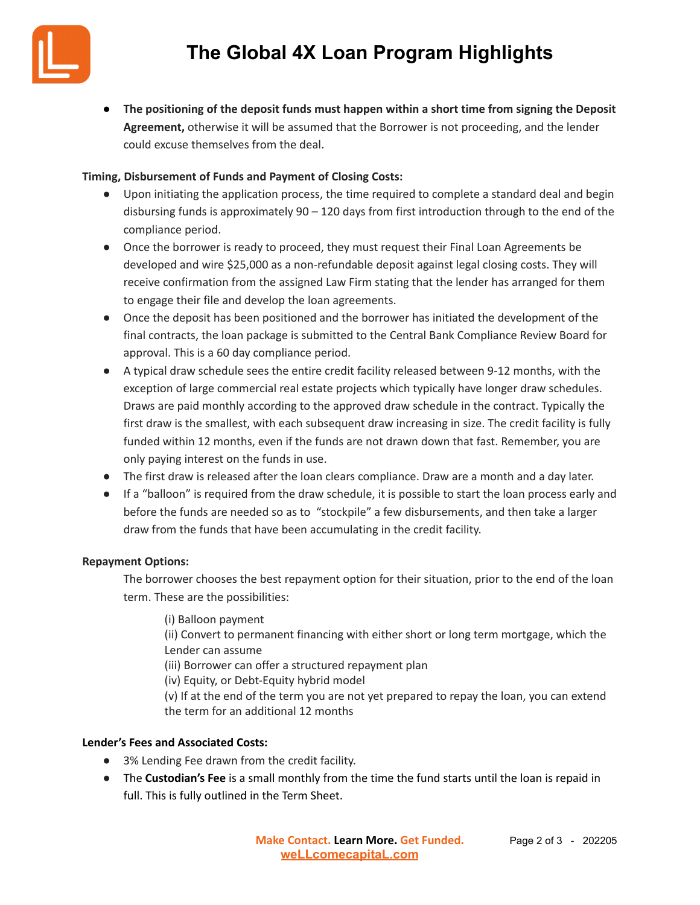

● **The positioning of the deposit funds must happen within a short time from signing the Deposit Agreement,** otherwise it will be assumed that the Borrower is not proceeding, and the lender could excuse themselves from the deal.

## **Timing, Disbursement of Funds and Payment of Closing Costs:**

- Upon initiating the application process, the time required to complete a standard deal and begin disbursing funds is approximately 90 – 120 days from first introduction through to the end of the compliance period.
- Once the borrower is ready to proceed, they must request their Final Loan Agreements be developed and wire \$25,000 as a non-refundable deposit against legal closing costs. They will receive confirmation from the assigned Law Firm stating that the lender has arranged for them to engage their file and develop the loan agreements.
- Once the deposit has been positioned and the borrower has initiated the development of the final contracts, the loan package is submitted to the Central Bank Compliance Review Board for approval. This is a 60 day compliance period.
- A typical draw schedule sees the entire credit facility released between 9-12 months, with the exception of large commercial real estate projects which typically have longer draw schedules. Draws are paid monthly according to the approved draw schedule in the contract. Typically the first draw is the smallest, with each subsequent draw increasing in size. The credit facility is fully funded within 12 months, even if the funds are not drawn down that fast. Remember, you are only paying interest on the funds in use.
- The first draw is released after the loan clears compliance. Draw are a month and a day later.
- If a "balloon" is required from the draw schedule, it is possible to start the loan process early and before the funds are needed so as to "stockpile" a few disbursements, and then take a larger draw from the funds that have been accumulating in the credit facility.

### **Repayment Options:**

The borrower chooses the best repayment option for their situation, prior to the end of the loan term. These are the possibilities:

(i) Balloon payment

(ii) Convert to permanent financing with either short or long term mortgage, which the Lender can assume

(iii) Borrower can offer a structured repayment plan

(iv) Equity, or Debt-Equity hybrid model

(v) If at the end of the term you are not yet prepared to repay the loan, you can extend the term for an additional 12 months

## **Lender's Fees and Associated Costs:**

- 3% Lending Fee drawn from the credit facility.
- The **Custodian's Fee** is a small monthly from the time the fund starts until the loan is repaid in full. This is fully outlined in the Term Sheet.